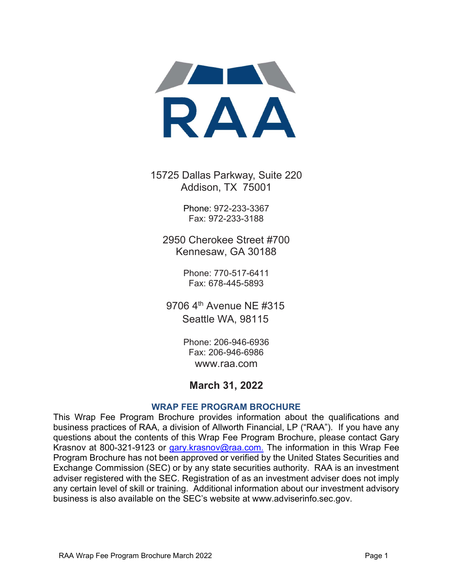

15725 Dallas Parkway, Suite 220 Addison, TX 75001

> Phone: 972-233-3367 Fax: 972-233-3188

2950 Cherokee Street #700 Kennesaw, GA 30188

> Phone: 770-517-6411 Fax: 678-445-5893

9706 4<sup>th</sup> Avenue NE #315 Seattle WA, 98115

> Phone: 206-946-6936 Fax: 206-946-6986 www.raa.com

# March 31, 2022

#### WRAP FEE PROGRAM BROCHURE

This Wrap Fee Program Brochure provides information about the qualifications and business practices of RAA, a division of Allworth Financial, LP ("RAA"). If you have any questions about the contents of this Wrap Fee Program Brochure, please contact Gary Krasnov at 800-321-9123 or gary.krasnov@raa.com. The information in this Wrap Fee Program Brochure has not been approved or verified by the United States Securities and Exchange Commission (SEC) or by any state securities authority. RAA is an investment adviser registered with the SEC. Registration of as an investment adviser does not imply any certain level of skill or training. Additional information about our investment advisory business is also available on the SEC's website at www.adviserinfo.sec.gov.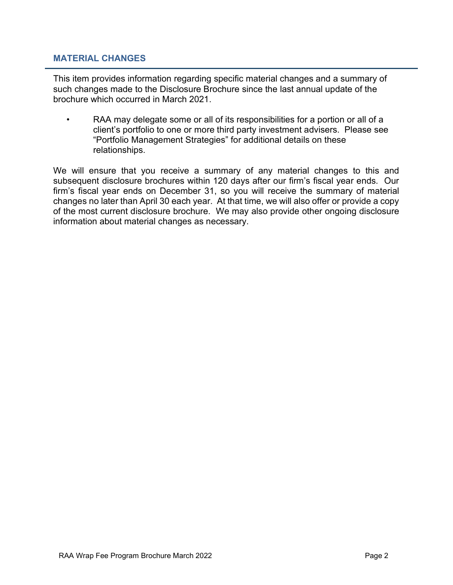### MATERIAL CHANGES

This item provides information regarding specific material changes and a summary of such changes made to the Disclosure Brochure since the last annual update of the brochure which occurred in March 2021.

RAA may delegate some or all of its responsibilities for a portion or all of a client's portfolio to one or more third party investment advisers. Please see "Portfolio Management Strategies" for additional details on these relationships.

We will ensure that you receive a summary of any material changes to this and subsequent disclosure brochures within 120 days after our firm's fiscal year ends. Our firm's fiscal year ends on December 31, so you will receive the summary of material changes no later than April 30 each year. At that time, we will also offer or provide a copy of the most current disclosure brochure. We may also provide other ongoing disclosure information about material changes as necessary.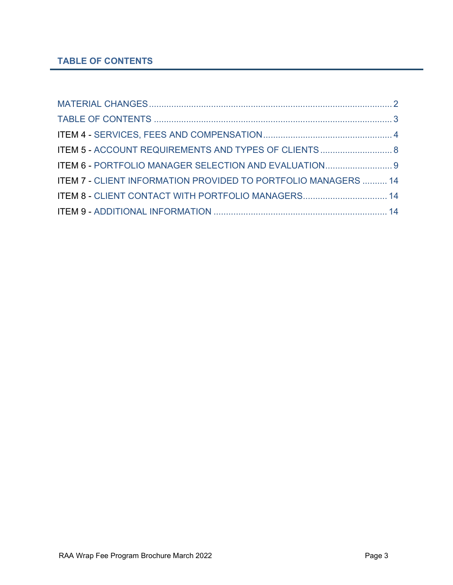# TABLE OF CONTENTS

| ITEM 5 - ACCOUNT REQUIREMENTS AND TYPES OF CLIENTS 8           |  |
|----------------------------------------------------------------|--|
| ITEM 6 - PORTFOLIO MANAGER SELECTION AND EVALUATION 9          |  |
| ITEM 7 - CLIENT INFORMATION PROVIDED TO PORTFOLIO MANAGERS  14 |  |
| ITEM 8 - CLIENT CONTACT WITH PORTFOLIO MANAGERS 14             |  |
|                                                                |  |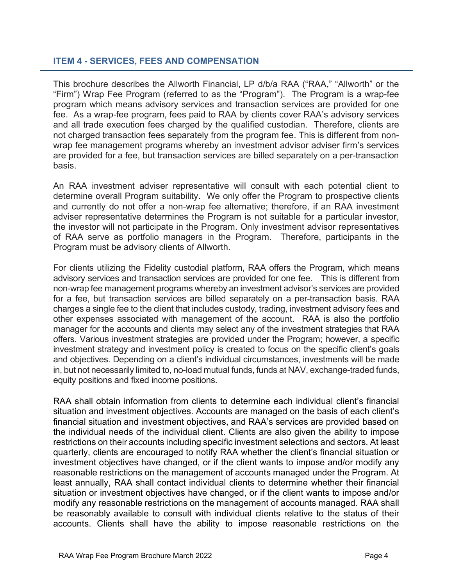# ITEM 4 - SERVICES, FEES AND COMPENSATION

This brochure describes the Allworth Financial, LP d/b/a RAA ("RAA," "Allworth" or the "Firm") Wrap Fee Program (referred to as the "Program"). The Program is a wrap-fee program which means advisory services and transaction services are provided for one fee. As a wrap-fee program, fees paid to RAA by clients cover RAA's advisory services and all trade execution fees charged by the qualified custodian. Therefore, clients are not charged transaction fees separately from the program fee. This is different from nonwrap fee management programs whereby an investment advisor adviser firm's services are provided for a fee, but transaction services are billed separately on a per-transaction basis.

An RAA investment adviser representative will consult with each potential client to determine overall Program suitability. We only offer the Program to prospective clients and currently do not offer a non-wrap fee alternative; therefore, if an RAA investment adviser representative determines the Program is not suitable for a particular investor, the investor will not participate in the Program. Only investment advisor representatives of RAA serve as portfolio managers in the Program. Therefore, participants in the Program must be advisory clients of Allworth.

For clients utilizing the Fidelity custodial platform, RAA offers the Program, which means advisory services and transaction services are provided for one fee. This is different from non-wrap fee management programs whereby an investment advisor's services are provided for a fee, but transaction services are billed separately on a per-transaction basis. RAA charges a single fee to the client that includes custody, trading, investment advisory fees and other expenses associated with management of the account. RAA is also the portfolio manager for the accounts and clients may select any of the investment strategies that RAA offers. Various investment strategies are provided under the Program; however, a specific investment strategy and investment policy is created to focus on the specific client's goals and objectives. Depending on a client's individual circumstances, investments will be made in, but not necessarily limited to, no-load mutual funds, funds at NAV, exchange-traded funds, equity positions and fixed income positions.

RAA shall obtain information from clients to determine each individual client's financial situation and investment objectives. Accounts are managed on the basis of each client's financial situation and investment objectives, and RAA's services are provided based on the individual needs of the individual client. Clients are also given the ability to impose restrictions on their accounts including specific investment selections and sectors. At least quarterly, clients are encouraged to notify RAA whether the client's financial situation or investment objectives have changed, or if the client wants to impose and/or modify any reasonable restrictions on the management of accounts managed under the Program. At least annually, RAA shall contact individual clients to determine whether their financial situation or investment objectives have changed, or if the client wants to impose and/or modify any reasonable restrictions on the management of accounts managed. RAA shall be reasonably available to consult with individual clients relative to the status of their accounts. Clients shall have the ability to impose reasonable restrictions on the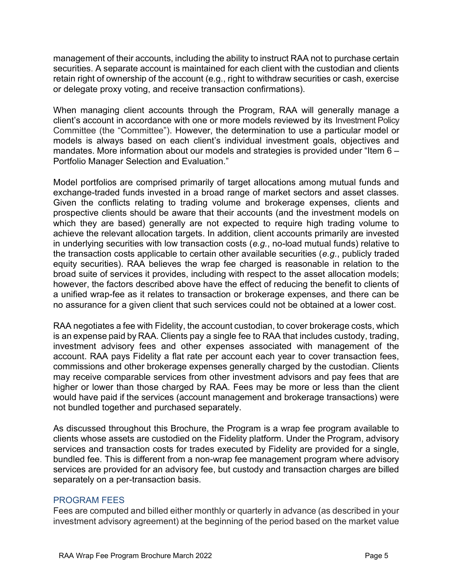management of their accounts, including the ability to instruct RAA not to purchase certain securities. A separate account is maintained for each client with the custodian and clients retain right of ownership of the account (e.g., right to withdraw securities or cash, exercise or delegate proxy voting, and receive transaction confirmations).

When managing client accounts through the Program, RAA will generally manage a client's account in accordance with one or more models reviewed by its Investment Policy Committee (the "Committee"). However, the determination to use a particular model or models is always based on each client's individual investment goals, objectives and mandates. More information about our models and strategies is provided under "Item 6 – Portfolio Manager Selection and Evaluation."

Model portfolios are comprised primarily of target allocations among mutual funds and exchange-traded funds invested in a broad range of market sectors and asset classes. Given the conflicts relating to trading volume and brokerage expenses, clients and prospective clients should be aware that their accounts (and the investment models on which they are based) generally are not expected to require high trading volume to achieve the relevant allocation targets. In addition, client accounts primarily are invested in underlying securities with low transaction costs (e.g., no-load mutual funds) relative to the transaction costs applicable to certain other available securities (e.g., publicly traded equity securities). RAA believes the wrap fee charged is reasonable in relation to the broad suite of services it provides, including with respect to the asset allocation models; however, the factors described above have the effect of reducing the benefit to clients of a unified wrap-fee as it relates to transaction or brokerage expenses, and there can be no assurance for a given client that such services could not be obtained at a lower cost.

RAA negotiates a fee with Fidelity, the account custodian, to cover brokerage costs, which is an expense paid by RAA. Clients pay a single fee to RAA that includes custody, trading, investment advisory fees and other expenses associated with management of the account. RAA pays Fidelity a flat rate per account each year to cover transaction fees, commissions and other brokerage expenses generally charged by the custodian. Clients may receive comparable services from other investment advisors and pay fees that are higher or lower than those charged by RAA. Fees may be more or less than the client would have paid if the services (account management and brokerage transactions) were not bundled together and purchased separately.

As discussed throughout this Brochure, the Program is a wrap fee program available to clients whose assets are custodied on the Fidelity platform. Under the Program, advisory services and transaction costs for trades executed by Fidelity are provided for a single, bundled fee. This is different from a non-wrap fee management program where advisory services are provided for an advisory fee, but custody and transaction charges are billed separately on a per-transaction basis.

# PROGRAM FEES

Fees are computed and billed either monthly or quarterly in advance (as described in your investment advisory agreement) at the beginning of the period based on the market value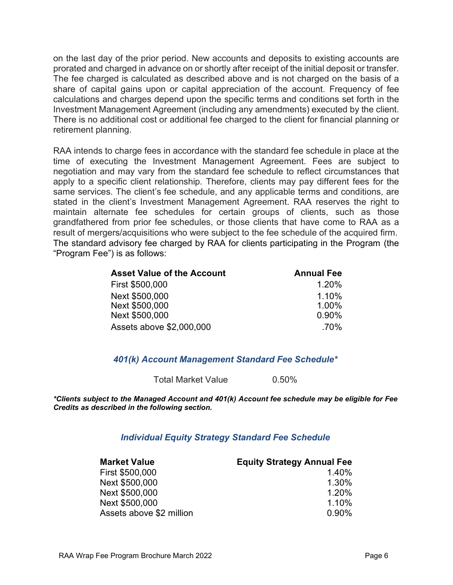on the last day of the prior period. New accounts and deposits to existing accounts are prorated and charged in advance on or shortly after receipt of the initial deposit or transfer. The fee charged is calculated as described above and is not charged on the basis of a share of capital gains upon or capital appreciation of the account. Frequency of fee calculations and charges depend upon the specific terms and conditions set forth in the Investment Management Agreement (including any amendments) executed by the client. There is no additional cost or additional fee charged to the client for financial planning or retirement planning.

RAA intends to charge fees in accordance with the standard fee schedule in place at the time of executing the Investment Management Agreement. Fees are subject to negotiation and may vary from the standard fee schedule to reflect circumstances that apply to a specific client relationship. Therefore, clients may pay different fees for the same services. The client's fee schedule, and any applicable terms and conditions, are stated in the client's Investment Management Agreement. RAA reserves the right to maintain alternate fee schedules for certain groups of clients, such as those grandfathered from prior fee schedules, or those clients that have come to RAA as a result of mergers/acquisitions who were subject to the fee schedule of the acquired firm. The standard advisory fee charged by RAA for clients participating in the Program (the "Program Fee") is as follows:

| <b>Asset Value of the Account</b> | <b>Annual Fee</b> |
|-----------------------------------|-------------------|
| First \$500,000                   | 1.20%             |
| Next \$500,000                    | 1.10%             |
| Next \$500,000                    | 1.00%             |
| Next \$500,000                    | $0.90\%$          |
| Assets above \$2,000,000          | .70%              |

# 401(k) Account Management Standard Fee Schedule\*

Total Market Value 0.50%

\*Clients subject to the Managed Account and 401(k) Account fee schedule may be eligible for Fee Credits as described in the following section.

# Individual Equity Strategy Standard Fee Schedule

| <b>Market Value</b>      | <b>Equity Strategy Annual Fee</b> |
|--------------------------|-----------------------------------|
| First \$500,000          | 1.40%                             |
| Next \$500,000           | 1.30%                             |
| Next \$500,000           | 1.20%                             |
| Next \$500,000           | 1.10%                             |
| Assets above \$2 million | 0.90%                             |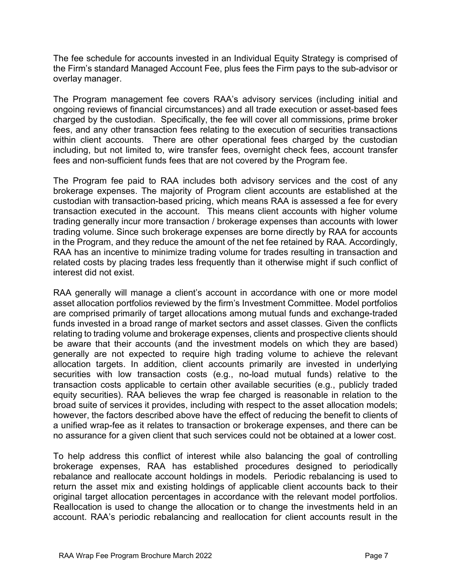The fee schedule for accounts invested in an Individual Equity Strategy is comprised of the Firm's standard Managed Account Fee, plus fees the Firm pays to the sub-advisor or overlay manager.

The Program management fee covers RAA's advisory services (including initial and ongoing reviews of financial circumstances) and all trade execution or asset-based fees charged by the custodian. Specifically, the fee will cover all commissions, prime broker fees, and any other transaction fees relating to the execution of securities transactions within client accounts. There are other operational fees charged by the custodian including, but not limited to, wire transfer fees, overnight check fees, account transfer fees and non-sufficient funds fees that are not covered by the Program fee.

The Program fee paid to RAA includes both advisory services and the cost of any brokerage expenses. The majority of Program client accounts are established at the custodian with transaction-based pricing, which means RAA is assessed a fee for every transaction executed in the account. This means client accounts with higher volume trading generally incur more transaction / brokerage expenses than accounts with lower trading volume. Since such brokerage expenses are borne directly by RAA for accounts in the Program, and they reduce the amount of the net fee retained by RAA. Accordingly, RAA has an incentive to minimize trading volume for trades resulting in transaction and related costs by placing trades less frequently than it otherwise might if such conflict of interest did not exist.

RAA generally will manage a client's account in accordance with one or more model asset allocation portfolios reviewed by the firm's Investment Committee. Model portfolios are comprised primarily of target allocations among mutual funds and exchange-traded funds invested in a broad range of market sectors and asset classes. Given the conflicts relating to trading volume and brokerage expenses, clients and prospective clients should be aware that their accounts (and the investment models on which they are based) generally are not expected to require high trading volume to achieve the relevant allocation targets. In addition, client accounts primarily are invested in underlying securities with low transaction costs (e.g., no-load mutual funds) relative to the transaction costs applicable to certain other available securities (e.g., publicly traded equity securities). RAA believes the wrap fee charged is reasonable in relation to the broad suite of services it provides, including with respect to the asset allocation models; however, the factors described above have the effect of reducing the benefit to clients of a unified wrap-fee as it relates to transaction or brokerage expenses, and there can be no assurance for a given client that such services could not be obtained at a lower cost.

To help address this conflict of interest while also balancing the goal of controlling brokerage expenses, RAA has established procedures designed to periodically rebalance and reallocate account holdings in models. Periodic rebalancing is used to return the asset mix and existing holdings of applicable client accounts back to their original target allocation percentages in accordance with the relevant model portfolios. Reallocation is used to change the allocation or to change the investments held in an account. RAA's periodic rebalancing and reallocation for client accounts result in the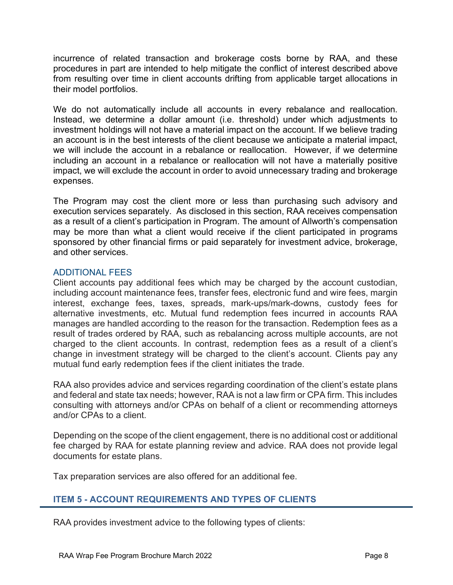incurrence of related transaction and brokerage costs borne by RAA, and these procedures in part are intended to help mitigate the conflict of interest described above from resulting over time in client accounts drifting from applicable target allocations in their model portfolios.

We do not automatically include all accounts in every rebalance and reallocation. Instead, we determine a dollar amount (i.e. threshold) under which adjustments to investment holdings will not have a material impact on the account. If we believe trading an account is in the best interests of the client because we anticipate a material impact, we will include the account in a rebalance or reallocation. However, if we determine including an account in a rebalance or reallocation will not have a materially positive impact, we will exclude the account in order to avoid unnecessary trading and brokerage expenses.

The Program may cost the client more or less than purchasing such advisory and execution services separately. As disclosed in this section, RAA receives compensation as a result of a client's participation in Program. The amount of Allworth's compensation may be more than what a client would receive if the client participated in programs sponsored by other financial firms or paid separately for investment advice, brokerage, and other services.

# ADDITIONAL FEES

Client accounts pay additional fees which may be charged by the account custodian, including account maintenance fees, transfer fees, electronic fund and wire fees, margin interest, exchange fees, taxes, spreads, mark-ups/mark-downs, custody fees for alternative investments, etc. Mutual fund redemption fees incurred in accounts RAA manages are handled according to the reason for the transaction. Redemption fees as a result of trades ordered by RAA, such as rebalancing across multiple accounts, are not charged to the client accounts. In contrast, redemption fees as a result of a client's change in investment strategy will be charged to the client's account. Clients pay any mutual fund early redemption fees if the client initiates the trade.

RAA also provides advice and services regarding coordination of the client's estate plans and federal and state tax needs; however, RAA is not a law firm or CPA firm. This includes consulting with attorneys and/or CPAs on behalf of a client or recommending attorneys and/or CPAs to a client.

Depending on the scope of the client engagement, there is no additional cost or additional fee charged by RAA for estate planning review and advice. RAA does not provide legal documents for estate plans.

Tax preparation services are also offered for an additional fee.

# ITEM 5 - ACCOUNT REQUIREMENTS AND TYPES OF CLIENTS

RAA provides investment advice to the following types of clients: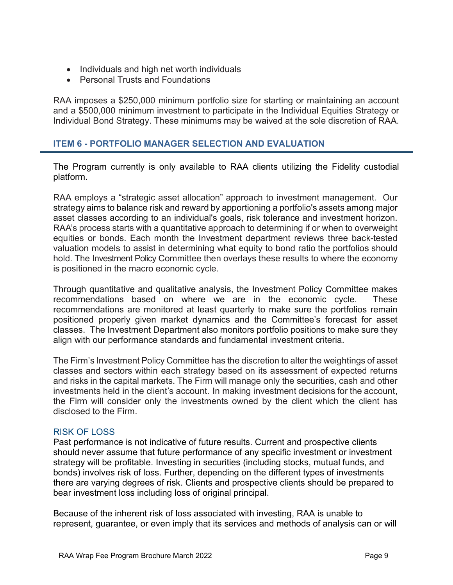- Individuals and high net worth individuals
- Personal Trusts and Foundations

RAA imposes a \$250,000 minimum portfolio size for starting or maintaining an account and a \$500,000 minimum investment to participate in the Individual Equities Strategy or Individual Bond Strategy. These minimums may be waived at the sole discretion of RAA.

### ITEM 6 - PORTFOLIO MANAGER SELECTION AND EVALUATION

The Program currently is only available to RAA clients utilizing the Fidelity custodial platform.

RAA employs a "strategic asset allocation" approach to investment management. Our strategy aims to balance risk and reward by apportioning a portfolio's assets among major asset classes according to an individual's goals, risk tolerance and investment horizon. RAA's process starts with a quantitative approach to determining if or when to overweight equities or bonds. Each month the Investment department reviews three back-tested valuation models to assist in determining what equity to bond ratio the portfolios should hold. The Investment Policy Committee then overlays these results to where the economy is positioned in the macro economic cycle.

Through quantitative and qualitative analysis, the Investment Policy Committee makes recommendations based on where we are in the economic cycle. These recommendations are monitored at least quarterly to make sure the portfolios remain positioned properly given market dynamics and the Committee's forecast for asset classes. The Investment Department also monitors portfolio positions to make sure they align with our performance standards and fundamental investment criteria.

The Firm's Investment Policy Committee has the discretion to alter the weightings of asset classes and sectors within each strategy based on its assessment of expected returns and risks in the capital markets. The Firm will manage only the securities, cash and other investments held in the client's account. In making investment decisions for the account, the Firm will consider only the investments owned by the client which the client has disclosed to the Firm.

#### RISK OF LOSS

Past performance is not indicative of future results. Current and prospective clients should never assume that future performance of any specific investment or investment strategy will be profitable. Investing in securities (including stocks, mutual funds, and bonds) involves risk of loss. Further, depending on the different types of investments there are varying degrees of risk. Clients and prospective clients should be prepared to bear investment loss including loss of original principal.

Because of the inherent risk of loss associated with investing, RAA is unable to represent, guarantee, or even imply that its services and methods of analysis can or will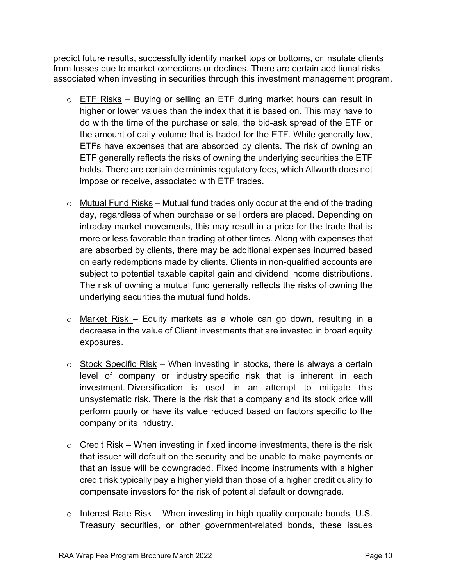predict future results, successfully identify market tops or bottoms, or insulate clients from losses due to market corrections or declines. There are certain additional risks associated when investing in securities through this investment management program.

- $\circ$  ETF Risks Buying or selling an ETF during market hours can result in higher or lower values than the index that it is based on. This may have to do with the time of the purchase or sale, the bid-ask spread of the ETF or the amount of daily volume that is traded for the ETF. While generally low, ETFs have expenses that are absorbed by clients. The risk of owning an ETF generally reflects the risks of owning the underlying securities the ETF holds. There are certain de minimis regulatory fees, which Allworth does not impose or receive, associated with ETF trades.
- $\circ$  Mutual Fund Risks Mutual fund trades only occur at the end of the trading day, regardless of when purchase or sell orders are placed. Depending on intraday market movements, this may result in a price for the trade that is more or less favorable than trading at other times. Along with expenses that are absorbed by clients, there may be additional expenses incurred based on early redemptions made by clients. Clients in non-qualified accounts are subject to potential taxable capital gain and dividend income distributions. The risk of owning a mutual fund generally reflects the risks of owning the underlying securities the mutual fund holds.
- $\circ$  Market Risk Equity markets as a whole can go down, resulting in a decrease in the value of Client investments that are invested in broad equity exposures.
- $\circ$  Stock Specific Risk When investing in stocks, there is always a certain level of company or industry specific risk that is inherent in each investment. Diversification is used in an attempt to mitigate this unsystematic risk. There is the risk that a company and its stock price will perform poorly or have its value reduced based on factors specific to the company or its industry.
- $\circ$  Credit Risk When investing in fixed income investments, there is the risk that issuer will default on the security and be unable to make payments or that an issue will be downgraded. Fixed income instruments with a higher credit risk typically pay a higher yield than those of a higher credit quality to compensate investors for the risk of potential default or downgrade.
- $\circ$  Interest Rate Risk When investing in high quality corporate bonds, U.S. Treasury securities, or other government-related bonds, these issues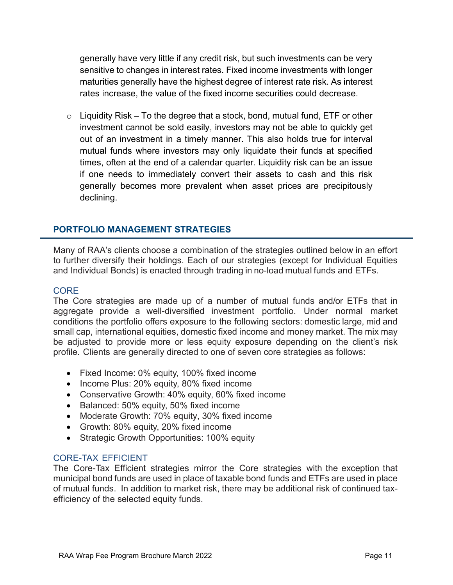generally have very little if any credit risk, but such investments can be very sensitive to changes in interest rates. Fixed income investments with longer maturities generally have the highest degree of interest rate risk. As interest rates increase, the value of the fixed income securities could decrease.

 $\circ$  Liquidity Risk – To the degree that a stock, bond, mutual fund, ETF or other investment cannot be sold easily, investors may not be able to quickly get out of an investment in a timely manner. This also holds true for interval mutual funds where investors may only liquidate their funds at specified times, often at the end of a calendar quarter. Liquidity risk can be an issue if one needs to immediately convert their assets to cash and this risk generally becomes more prevalent when asset prices are precipitously declining.

# PORTFOLIO MANAGEMENT STRATEGIES

Many of RAA's clients choose a combination of the strategies outlined below in an effort to further diversify their holdings. Each of our strategies (except for Individual Equities and Individual Bonds) is enacted through trading in no-load mutual funds and ETFs.

### CORE

The Core strategies are made up of a number of mutual funds and/or ETFs that in aggregate provide a well-diversified investment portfolio. Under normal market conditions the portfolio offers exposure to the following sectors: domestic large, mid and small cap, international equities, domestic fixed income and money market. The mix may be adjusted to provide more or less equity exposure depending on the client's risk profile. Clients are generally directed to one of seven core strategies as follows:

- Fixed Income: 0% equity, 100% fixed income
- Income Plus: 20% equity, 80% fixed income
- Conservative Growth: 40% equity, 60% fixed income
- Balanced: 50% equity, 50% fixed income
- Moderate Growth: 70% equity, 30% fixed income
- Growth: 80% equity, 20% fixed income
- Strategic Growth Opportunities: 100% equity

# CORE-TAX EFFICIENT

The Core-Tax Efficient strategies mirror the Core strategies with the exception that municipal bond funds are used in place of taxable bond funds and ETFs are used in place of mutual funds. In addition to market risk, there may be additional risk of continued taxefficiency of the selected equity funds.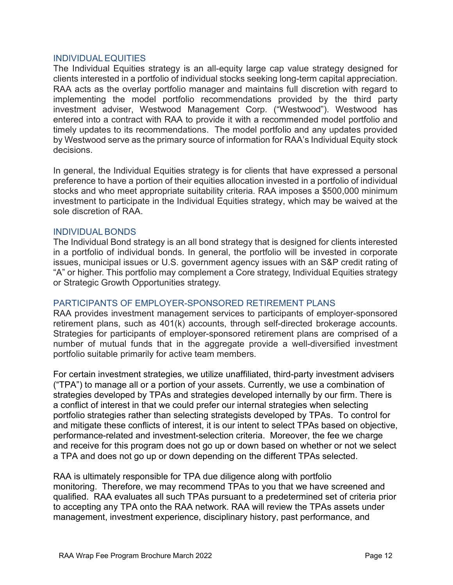#### INDIVIDUAL EQUITIES

The Individual Equities strategy is an all-equity large cap value strategy designed for clients interested in a portfolio of individual stocks seeking long-term capital appreciation. RAA acts as the overlay portfolio manager and maintains full discretion with regard to implementing the model portfolio recommendations provided by the third party investment adviser, Westwood Management Corp. ("Westwood"). Westwood has entered into a contract with RAA to provide it with a recommended model portfolio and timely updates to its recommendations. The model portfolio and any updates provided by Westwood serve as the primary source of information for RAA's Individual Equity stock decisions.

In general, the Individual Equities strategy is for clients that have expressed a personal preference to have a portion of their equities allocation invested in a portfolio of individual stocks and who meet appropriate suitability criteria. RAA imposes a \$500,000 minimum investment to participate in the Individual Equities strategy, which may be waived at the sole discretion of RAA.

#### INDIVIDUAL BONDS

The Individual Bond strategy is an all bond strategy that is designed for clients interested in a portfolio of individual bonds. In general, the portfolio will be invested in corporate issues, municipal issues or U.S. government agency issues with an S&P credit rating of "A" or higher. This portfolio may complement a Core strategy, Individual Equities strategy or Strategic Growth Opportunities strategy.

#### PARTICIPANTS OF EMPLOYER-SPONSORED RETIREMENT PLANS

RAA provides investment management services to participants of employer-sponsored retirement plans, such as 401(k) accounts, through self-directed brokerage accounts. Strategies for participants of employer-sponsored retirement plans are comprised of a number of mutual funds that in the aggregate provide a well-diversified investment portfolio suitable primarily for active team members.

For certain investment strategies, we utilize unaffiliated, third-party investment advisers ("TPA") to manage all or a portion of your assets. Currently, we use a combination of strategies developed by TPAs and strategies developed internally by our firm. There is a conflict of interest in that we could prefer our internal strategies when selecting portfolio strategies rather than selecting strategists developed by TPAs. To control for and mitigate these conflicts of interest, it is our intent to select TPAs based on objective, performance-related and investment-selection criteria. Moreover, the fee we charge and receive for this program does not go up or down based on whether or not we select a TPA and does not go up or down depending on the different TPAs selected.

RAA is ultimately responsible for TPA due diligence along with portfolio monitoring. Therefore, we may recommend TPAs to you that we have screened and qualified. RAA evaluates all such TPAs pursuant to a predetermined set of criteria prior to accepting any TPA onto the RAA network. RAA will review the TPAs assets under management, investment experience, disciplinary history, past performance, and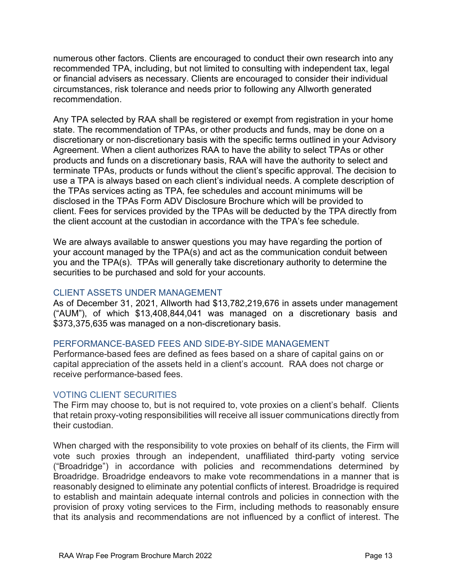numerous other factors. Clients are encouraged to conduct their own research into any recommended TPA, including, but not limited to consulting with independent tax, legal or financial advisers as necessary. Clients are encouraged to consider their individual circumstances, risk tolerance and needs prior to following any Allworth generated recommendation.

Any TPA selected by RAA shall be registered or exempt from registration in your home state. The recommendation of TPAs, or other products and funds, may be done on a discretionary or non-discretionary basis with the specific terms outlined in your Advisory Agreement. When a client authorizes RAA to have the ability to select TPAs or other products and funds on a discretionary basis, RAA will have the authority to select and terminate TPAs, products or funds without the client's specific approval. The decision to use a TPA is always based on each client's individual needs. A complete description of the TPAs services acting as TPA, fee schedules and account minimums will be disclosed in the TPAs Form ADV Disclosure Brochure which will be provided to client. Fees for services provided by the TPAs will be deducted by the TPA directly from the client account at the custodian in accordance with the TPA's fee schedule.

We are always available to answer questions you may have regarding the portion of your account managed by the TPA(s) and act as the communication conduit between you and the TPA(s). TPAs will generally take discretionary authority to determine the securities to be purchased and sold for your accounts.

#### CLIENT ASSETS UNDER MANAGEMENT

As of December 31, 2021, Allworth had \$13,782,219,676 in assets under management ("AUM"), of which \$13,408,844,041 was managed on a discretionary basis and \$373,375,635 was managed on a non-discretionary basis.

#### PERFORMANCE-BASED FEES AND SIDE-BY-SIDE MANAGEMENT

Performance-based fees are defined as fees based on a share of capital gains on or capital appreciation of the assets held in a client's account. RAA does not charge or receive performance-based fees.

#### VOTING CLIENT SECURITIES

The Firm may choose to, but is not required to, vote proxies on a client's behalf. Clients that retain proxy-voting responsibilities will receive all issuer communications directly from their custodian.

When charged with the responsibility to vote proxies on behalf of its clients, the Firm will vote such proxies through an independent, unaffiliated third-party voting service ("Broadridge") in accordance with policies and recommendations determined by Broadridge. Broadridge endeavors to make vote recommendations in a manner that is reasonably designed to eliminate any potential conflicts of interest. Broadridge is required to establish and maintain adequate internal controls and policies in connection with the provision of proxy voting services to the Firm, including methods to reasonably ensure that its analysis and recommendations are not influenced by a conflict of interest. The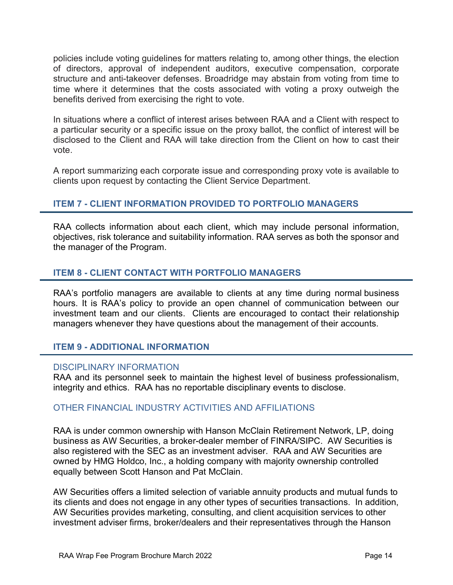policies include voting guidelines for matters relating to, among other things, the election of directors, approval of independent auditors, executive compensation, corporate structure and anti-takeover defenses. Broadridge may abstain from voting from time to time where it determines that the costs associated with voting a proxy outweigh the benefits derived from exercising the right to vote.

In situations where a conflict of interest arises between RAA and a Client with respect to a particular security or a specific issue on the proxy ballot, the conflict of interest will be disclosed to the Client and RAA will take direction from the Client on how to cast their vote.

A report summarizing each corporate issue and corresponding proxy vote is available to clients upon request by contacting the Client Service Department.

# ITEM 7 - CLIENT INFORMATION PROVIDED TO PORTFOLIO MANAGERS

RAA collects information about each client, which may include personal information, objectives, risk tolerance and suitability information. RAA serves as both the sponsor and the manager of the Program.

# ITEM 8 - CLIENT CONTACT WITH PORTFOLIO MANAGERS

RAA's portfolio managers are available to clients at any time during normal business hours. It is RAA's policy to provide an open channel of communication between our investment team and our clients. Clients are encouraged to contact their relationship managers whenever they have questions about the management of their accounts.

# ITEM 9 - ADDITIONAL INFORMATION

#### DISCIPI INARY INFORMATION

RAA and its personnel seek to maintain the highest level of business professionalism, integrity and ethics. RAA has no reportable disciplinary events to disclose.

# OTHER FINANCIAL INDUSTRY ACTIVITIES AND AFFILIATIONS

RAA is under common ownership with Hanson McClain Retirement Network, LP, doing business as AW Securities, a broker-dealer member of FINRA/SIPC. AW Securities is also registered with the SEC as an investment adviser. RAA and AW Securities are owned by HMG Holdco, Inc., a holding company with majority ownership controlled equally between Scott Hanson and Pat McClain.

AW Securities offers a limited selection of variable annuity products and mutual funds to its clients and does not engage in any other types of securities transactions. In addition, AW Securities provides marketing, consulting, and client acquisition services to other investment adviser firms, broker/dealers and their representatives through the Hanson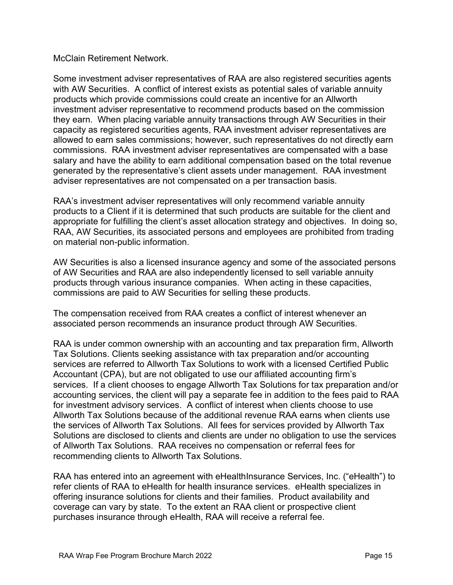### McClain Retirement Network.

Some investment adviser representatives of RAA are also registered securities agents with AW Securities. A conflict of interest exists as potential sales of variable annuity products which provide commissions could create an incentive for an Allworth investment adviser representative to recommend products based on the commission they earn. When placing variable annuity transactions through AW Securities in their capacity as registered securities agents, RAA investment adviser representatives are allowed to earn sales commissions; however, such representatives do not directly earn commissions. RAA investment adviser representatives are compensated with a base salary and have the ability to earn additional compensation based on the total revenue generated by the representative's client assets under management. RAA investment adviser representatives are not compensated on a per transaction basis.

RAA's investment adviser representatives will only recommend variable annuity products to a Client if it is determined that such products are suitable for the client and appropriate for fulfilling the client's asset allocation strategy and objectives. In doing so, RAA, AW Securities, its associated persons and employees are prohibited from trading on material non-public information.

AW Securities is also a licensed insurance agency and some of the associated persons of AW Securities and RAA are also independently licensed to sell variable annuity products through various insurance companies. When acting in these capacities, commissions are paid to AW Securities for selling these products.

The compensation received from RAA creates a conflict of interest whenever an associated person recommends an insurance product through AW Securities.

RAA is under common ownership with an accounting and tax preparation firm, Allworth Tax Solutions. Clients seeking assistance with tax preparation and/or accounting services are referred to Allworth Tax Solutions to work with a licensed Certified Public Accountant (CPA), but are not obligated to use our affiliated accounting firm's services. If a client chooses to engage Allworth Tax Solutions for tax preparation and/or accounting services, the client will pay a separate fee in addition to the fees paid to RAA for investment advisory services. A conflict of interest when clients choose to use Allworth Tax Solutions because of the additional revenue RAA earns when clients use the services of Allworth Tax Solutions. All fees for services provided by Allworth Tax Solutions are disclosed to clients and clients are under no obligation to use the services of Allworth Tax Solutions. RAA receives no compensation or referral fees for recommending clients to Allworth Tax Solutions.

RAA has entered into an agreement with eHealthInsurance Services, Inc. ("eHealth") to refer clients of RAA to eHealth for health insurance services. eHealth specializes in offering insurance solutions for clients and their families. Product availability and coverage can vary by state. To the extent an RAA client or prospective client purchases insurance through eHealth, RAA will receive a referral fee.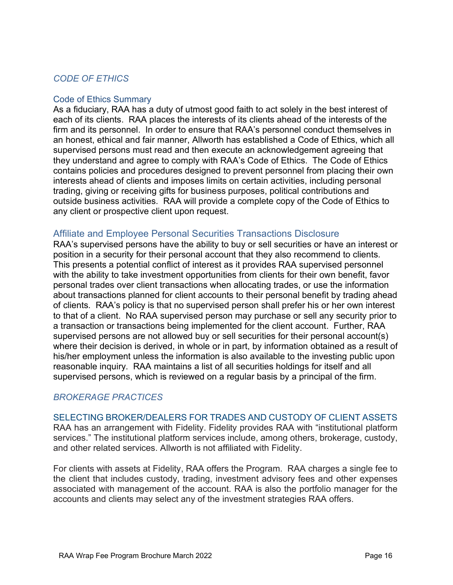# CODE OF ETHICS

#### Code of Ethics Summary

As a fiduciary, RAA has a duty of utmost good faith to act solely in the best interest of each of its clients. RAA places the interests of its clients ahead of the interests of the firm and its personnel. In order to ensure that RAA's personnel conduct themselves in an honest, ethical and fair manner, Allworth has established a Code of Ethics, which all supervised persons must read and then execute an acknowledgement agreeing that they understand and agree to comply with RAA's Code of Ethics. The Code of Ethics contains policies and procedures designed to prevent personnel from placing their own interests ahead of clients and imposes limits on certain activities, including personal trading, giving or receiving gifts for business purposes, political contributions and outside business activities. RAA will provide a complete copy of the Code of Ethics to any client or prospective client upon request.

# Affiliate and Employee Personal Securities Transactions Disclosure

RAA's supervised persons have the ability to buy or sell securities or have an interest or position in a security for their personal account that they also recommend to clients. This presents a potential conflict of interest as it provides RAA supervised personnel with the ability to take investment opportunities from clients for their own benefit, favor personal trades over client transactions when allocating trades, or use the information about transactions planned for client accounts to their personal benefit by trading ahead of clients. RAA's policy is that no supervised person shall prefer his or her own interest to that of a client. No RAA supervised person may purchase or sell any security prior to a transaction or transactions being implemented for the client account. Further, RAA supervised persons are not allowed buy or sell securities for their personal account(s) where their decision is derived, in whole or in part, by information obtained as a result of his/her employment unless the information is also available to the investing public upon reasonable inquiry. RAA maintains a list of all securities holdings for itself and all supervised persons, which is reviewed on a regular basis by a principal of the firm.

#### BROKERAGE PRACTICES

SELECTING BROKER/DEALERS FOR TRADES AND CUSTODY OF CLIENT ASSETS RAA has an arrangement with Fidelity. Fidelity provides RAA with "institutional platform services." The institutional platform services include, among others, brokerage, custody, and other related services. Allworth is not affiliated with Fidelity.

For clients with assets at Fidelity, RAA offers the Program. RAA charges a single fee to the client that includes custody, trading, investment advisory fees and other expenses associated with management of the account. RAA is also the portfolio manager for the accounts and clients may select any of the investment strategies RAA offers.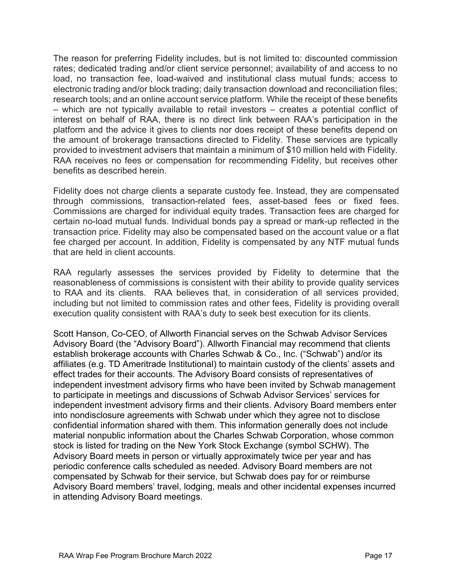The reason for preferring Fidelity includes, but is not limited to: discounted commission rates; dedicated trading and/or client service personnel; availability of and access to no load, no transaction fee, load-waived and institutional class mutual funds; access to electronic trading and/or block trading; daily transaction download and reconciliation files; research tools; and an online account service platform. While the receipt of these benefits – which are not typically available to retail investors – creates a potential conflict of interest on behalf of RAA, there is no direct link between RAA's participation in the platform and the advice it gives to clients nor does receipt of these benefits depend on the amount of brokerage transactions directed to Fidelity. These services are typically provided to investment advisers that maintain a minimum of \$10 million held with Fidelity. RAA receives no fees or compensation for recommending Fidelity, but receives other benefits as described herein.

Fidelity does not charge clients a separate custody fee. Instead, they are compensated through commissions, transaction-related fees, asset-based fees or fixed fees. Commissions are charged for individual equity trades. Transaction fees are charged for certain no-load mutual funds. Individual bonds pay a spread or mark-up reflected in the transaction price. Fidelity may also be compensated based on the account value or a flat fee charged per account. In addition, Fidelity is compensated by any NTF mutual funds that are held in client accounts.

RAA regularly assesses the services provided by Fidelity to determine that the reasonableness of commissions is consistent with their ability to provide quality services to RAA and its clients. RAA believes that, in consideration of all services provided, including but not limited to commission rates and other fees, Fidelity is providing overall execution quality consistent with RAA's duty to seek best execution for its clients.

Scott Hanson, Co-CEO, of Allworth Financial serves on the Schwab Advisor Services Advisory Board (the "Advisory Board"). Allworth Financial may recommend that clients establish brokerage accounts with Charles Schwab & Co., Inc. ("Schwab") and/or its affiliates (e.g. TD Ameritrade Institutional) to maintain custody of the clients' assets and effect trades for their accounts. The Advisory Board consists of representatives of independent investment advisory firms who have been invited by Schwab management to participate in meetings and discussions of Schwab Advisor Services' services for independent investment advisory firms and their clients. Advisory Board members enter into nondisclosure agreements with Schwab under which they agree not to disclose confidential information shared with them. This information generally does not include material nonpublic information about the Charles Schwab Corporation, whose common stock is listed for trading on the New York Stock Exchange (symbol SCHW). The Advisory Board meets in person or virtually approximately twice per year and has periodic conference calls scheduled as needed. Advisory Board members are not compensated by Schwab for their service, but Schwab does pay for or reimburse Advisory Board members' travel, lodging, meals and other incidental expenses incurred in attending Advisory Board meetings.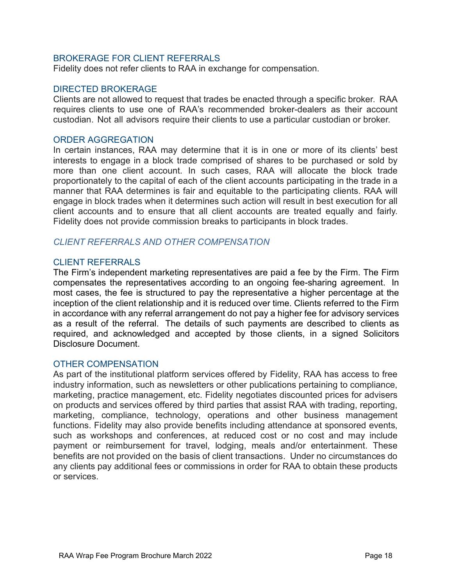### BROKERAGE FOR CLIENT REFERRALS

Fidelity does not refer clients to RAA in exchange for compensation.

#### DIRECTED BROKERAGE

Clients are not allowed to request that trades be enacted through a specific broker. RAA requires clients to use one of RAA's recommended broker-dealers as their account custodian. Not all advisors require their clients to use a particular custodian or broker.

#### ORDER AGGREGATION

In certain instances, RAA may determine that it is in one or more of its clients' best interests to engage in a block trade comprised of shares to be purchased or sold by more than one client account. In such cases, RAA will allocate the block trade proportionately to the capital of each of the client accounts participating in the trade in a manner that RAA determines is fair and equitable to the participating clients. RAA will engage in block trades when it determines such action will result in best execution for all client accounts and to ensure that all client accounts are treated equally and fairly. Fidelity does not provide commission breaks to participants in block trades.

#### CLIENT REFERRALS AND OTHER COMPENSATION

#### CLIENT REFERRALS

The Firm's independent marketing representatives are paid a fee by the Firm. The Firm compensates the representatives according to an ongoing fee-sharing agreement. In most cases, the fee is structured to pay the representative a higher percentage at the inception of the client relationship and it is reduced over time. Clients referred to the Firm in accordance with any referral arrangement do not pay a higher fee for advisory services as a result of the referral. The details of such payments are described to clients as required, and acknowledged and accepted by those clients, in a signed Solicitors Disclosure Document.

#### OTHER COMPENSATION

As part of the institutional platform services offered by Fidelity, RAA has access to free industry information, such as newsletters or other publications pertaining to compliance, marketing, practice management, etc. Fidelity negotiates discounted prices for advisers on products and services offered by third parties that assist RAA with trading, reporting, marketing, compliance, technology, operations and other business management functions. Fidelity may also provide benefits including attendance at sponsored events, such as workshops and conferences, at reduced cost or no cost and may include payment or reimbursement for travel, lodging, meals and/or entertainment. These benefits are not provided on the basis of client transactions. Under no circumstances do any clients pay additional fees or commissions in order for RAA to obtain these products or services.